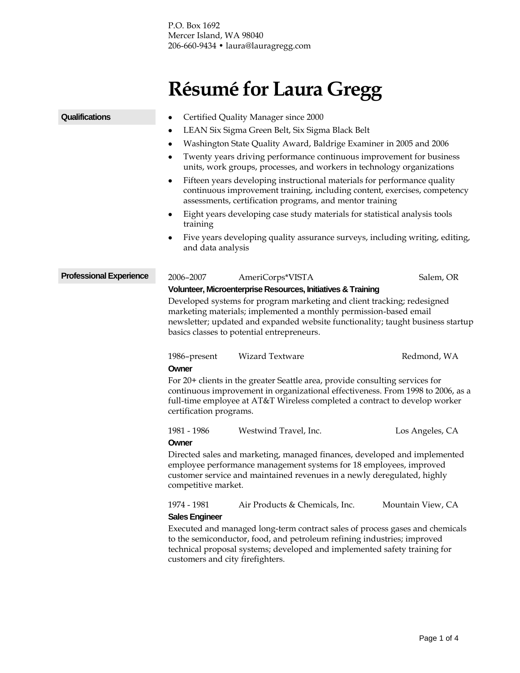P.O. Box 1692 Mercer Island, WA 98040 206-660-9434 • laura@lauragregg.com

## **Résumé for Laura Gregg**

## Certified Quality Manager since 2000 LEAN Six Sigma Green Belt, Six Sigma Black Belt Washington State Quality Award, Baldrige Examiner in 2005 and 2006 Twenty years driving performance continuous improvement for business units, work groups, processes, and workers in technology organizations Fifteen years developing instructional materials for performance quality continuous improvement training, including content, exercises, competency assessments, certification programs, and mentor training Eight years developing case study materials for statistical analysis tools training Five years developing quality assurance surveys, including writing, editing, and data analysis 2006–2007 AmeriCorps\*VISTA Salem, OR **Volunteer, Microenterprise Resources, Initiatives & Training** Developed systems for program marketing and client tracking; redesigned marketing materials; implemented a monthly permission-based email newsletter; updated and expanded website functionality; taught business startup basics classes to potential entrepreneurs. 1986–present Wizard Textware Redmond, WA **Owner** For 20+ clients in the greater Seattle area, provide consulting services for continuous improvement in organizational effectiveness. From 1998 to 2006, as a full-time employee at AT&T Wireless completed a contract to develop worker certification programs. 1981 - 1986 Westwind Travel, Inc. Los Angeles, CA **Owner** Directed sales and marketing, managed finances, developed and implemented employee performance management systems for 18 employees, improved customer service and maintained revenues in a newly deregulated, highly competitive market. 1974 - 1981 Air Products & Chemicals, Inc. Mountain View, CA **Qualifications Professional Experience**

## **Sales Engineer**

Executed and managed long-term contract sales of process gases and chemicals to the semiconductor, food, and petroleum refining industries; improved technical proposal systems; developed and implemented safety training for customers and city firefighters.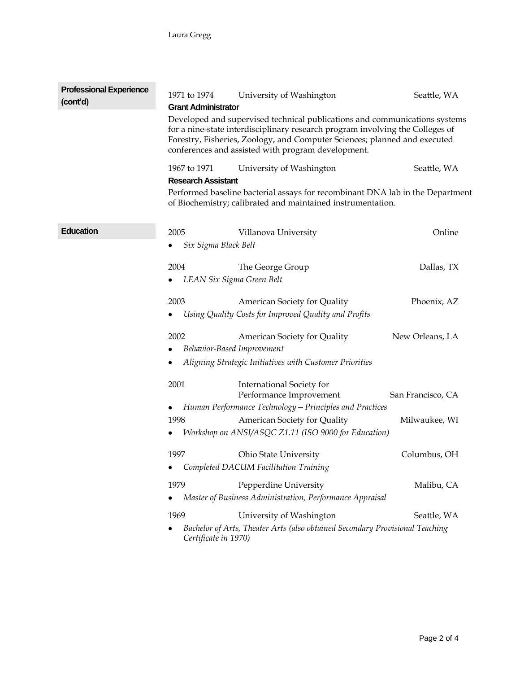| <b>Professional Experience</b><br>(cont'd) | 1971 to 1974<br><b>Grant Administrator</b>                                                                                                                                                                                                                                                     | University of Washington                                                                                        | Seattle, WA       |  |
|--------------------------------------------|------------------------------------------------------------------------------------------------------------------------------------------------------------------------------------------------------------------------------------------------------------------------------------------------|-----------------------------------------------------------------------------------------------------------------|-------------------|--|
|                                            | Developed and supervised technical publications and communications systems<br>for a nine-state interdisciplinary research program involving the Colleges of<br>Forestry, Fisheries, Zoology, and Computer Sciences; planned and executed<br>conferences and assisted with program development. |                                                                                                                 |                   |  |
|                                            | 1967 to 1971<br><b>Research Assistant</b>                                                                                                                                                                                                                                                      | University of Washington                                                                                        | Seattle, WA       |  |
|                                            | Performed baseline bacterial assays for recombinant DNA lab in the Department<br>of Biochemistry; calibrated and maintained instrumentation.                                                                                                                                                   |                                                                                                                 |                   |  |
| <b>Education</b>                           | 2005<br>Six Sigma Black Belt                                                                                                                                                                                                                                                                   | Villanova University                                                                                            | Online            |  |
|                                            | 2004<br>٠                                                                                                                                                                                                                                                                                      | The George Group<br>LEAN Six Sigma Green Belt                                                                   | Dallas, TX        |  |
|                                            | 2003                                                                                                                                                                                                                                                                                           | American Society for Quality<br>Using Quality Costs for Improved Quality and Profits                            | Phoenix, AZ       |  |
|                                            | 2002<br>٠                                                                                                                                                                                                                                                                                      | American Society for Quality<br>Behavior-Based Improvement                                                      | New Orleans, LA   |  |
|                                            | ٠                                                                                                                                                                                                                                                                                              | Aligning Strategic Initiatives with Customer Priorities                                                         |                   |  |
|                                            | 2001<br>٠                                                                                                                                                                                                                                                                                      | International Society for<br>Performance Improvement<br>Human Performance Technology - Principles and Practices | San Francisco, CA |  |
|                                            | 1998<br>٠                                                                                                                                                                                                                                                                                      | American Society for Quality<br>Workshop on ANSI/ASQC Z1.11 (ISO 9000 for Education)                            | Milwaukee, WI     |  |
|                                            | 1997                                                                                                                                                                                                                                                                                           | Ohio State University<br>Completed DACUM Facilitation Training                                                  | Columbus, OH      |  |
|                                            | 1979<br>٠                                                                                                                                                                                                                                                                                      | Pepperdine University<br>Master of Business Administration, Performance Appraisal                               | Malibu, CA        |  |
|                                            | 1969<br>٠<br>Certificate in 1970)                                                                                                                                                                                                                                                              | University of Washington<br>Bachelor of Arts, Theater Arts (also obtained Secondary Provisional Teaching        | Seattle, WA       |  |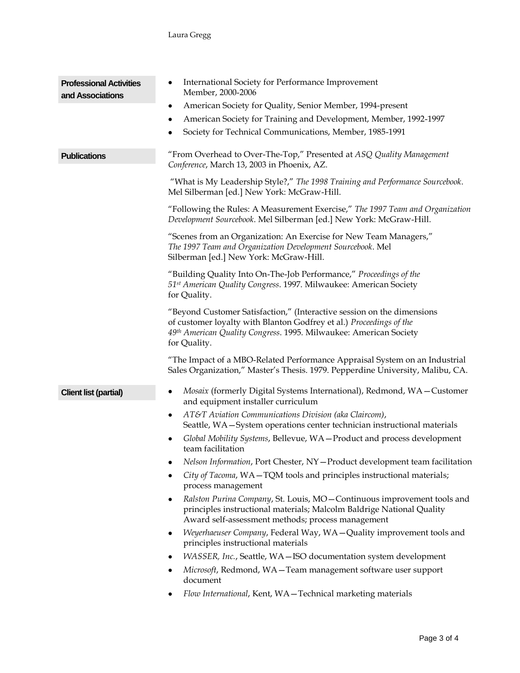| <b>Professional Activities</b><br>and Associations | International Society for Performance Improvement<br>٠<br>Member, 2000-2006                                                                                                                                                        |  |  |
|----------------------------------------------------|------------------------------------------------------------------------------------------------------------------------------------------------------------------------------------------------------------------------------------|--|--|
|                                                    | American Society for Quality, Senior Member, 1994-present<br>٠                                                                                                                                                                     |  |  |
|                                                    | American Society for Training and Development, Member, 1992-1997<br>٠                                                                                                                                                              |  |  |
|                                                    | Society for Technical Communications, Member, 1985-1991                                                                                                                                                                            |  |  |
| <b>Publications</b>                                | "From Overhead to Over-The-Top," Presented at ASQ Quality Management<br>Conference, March 13, 2003 in Phoenix, AZ.                                                                                                                 |  |  |
|                                                    | "What is My Leadership Style?," The 1998 Training and Performance Sourcebook.<br>Mel Silberman [ed.] New York: McGraw-Hill.                                                                                                        |  |  |
|                                                    | "Following the Rules: A Measurement Exercise," The 1997 Team and Organization<br>Development Sourcebook. Mel Silberman [ed.] New York: McGraw-Hill.                                                                                |  |  |
|                                                    | "Scenes from an Organization: An Exercise for New Team Managers,"<br>The 1997 Team and Organization Development Sourcebook. Mel<br>Silberman [ed.] New York: McGraw-Hill.                                                          |  |  |
|                                                    | "Building Quality Into On-The-Job Performance," Proceedings of the<br>51 <sup>st</sup> American Quality Congress. 1997. Milwaukee: American Society<br>for Quality.                                                                |  |  |
|                                                    | "Beyond Customer Satisfaction," (Interactive session on the dimensions<br>of customer loyalty with Blanton Godfrey et al.) Proceedings of the<br>49th American Quality Congress. 1995. Milwaukee: American Society<br>for Quality. |  |  |
|                                                    | "The Impact of a MBO-Related Performance Appraisal System on an Industrial<br>Sales Organization," Master's Thesis. 1979. Pepperdine University, Malibu, CA.                                                                       |  |  |
| <b>Client list (partial)</b>                       | Mosaix (formerly Digital Systems International), Redmond, WA-Customer<br>٠<br>and equipment installer curriculum                                                                                                                   |  |  |
|                                                    | AT&T Aviation Communications Division (aka Claircom),<br>$\bullet$<br>Seattle, WA-System operations center technician instructional materials                                                                                      |  |  |
|                                                    | Global Mobility Systems, Bellevue, WA-Product and process development<br>٠<br>team facilitation                                                                                                                                    |  |  |
|                                                    | Nelson Information, Port Chester, NY-Product development team facilitation                                                                                                                                                         |  |  |
|                                                    | City of Tacoma, WA-TQM tools and principles instructional materials;<br>٠<br>process management                                                                                                                                    |  |  |
|                                                    | Ralston Purina Company, St. Louis, MO-Continuous improvement tools and<br>٠<br>principles instructional materials; Malcolm Baldrige National Quality<br>Award self-assessment methods; process management                          |  |  |
|                                                    | Weyerhaeuser Company, Federal Way, WA-Quality improvement tools and<br>٠<br>principles instructional materials                                                                                                                     |  |  |
|                                                    | WASSER, Inc., Seattle, WA-ISO documentation system development<br>٠                                                                                                                                                                |  |  |
|                                                    | Microsoft, Redmond, WA-Team management software user support<br>٠<br>document                                                                                                                                                      |  |  |
|                                                    | Flow International, Kent, WA-Technical marketing materials                                                                                                                                                                         |  |  |